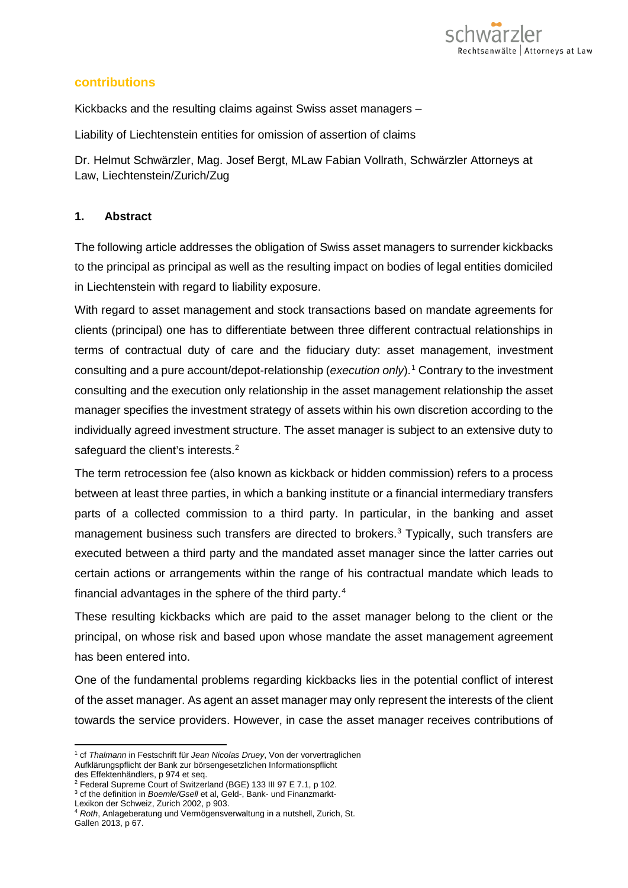

#### **contributions**

Kickbacks and the resulting claims against Swiss asset managers –

Liability of Liechtenstein entities for omission of assertion of claims

Dr. Helmut Schwärzler, Mag. Josef Bergt, MLaw Fabian Vollrath, Schwärzler Attorneys at Law, Liechtenstein/Zurich/Zug

#### **1. Abstract**

The following article addresses the obligation of Swiss asset managers to surrender kickbacks to the principal as principal as well as the resulting impact on bodies of legal entities domiciled in Liechtenstein with regard to liability exposure.

With regard to asset management and stock transactions based on mandate agreements for clients (principal) one has to differentiate between three different contractual relationships in terms of contractual duty of care and the fiduciary duty: asset management, investment consulting and a pure account/depot-relationship (*execution only*).[1](#page-0-0) Contrary to the investment consulting and the execution only relationship in the asset management relationship the asset manager specifies the investment strategy of assets within his own discretion according to the individually agreed investment structure. The asset manager is subject to an extensive duty to safeguard the client's interests.<sup>[2](#page-0-1)</sup>

The term retrocession fee (also known as kickback or hidden commission) refers to a process between at least three parties, in which a banking institute or a financial intermediary transfers parts of a collected commission to a third party. In particular, in the banking and asset management business such transfers are directed to brokers. [3](#page-0-2) Typically, such transfers are executed between a third party and the mandated asset manager since the latter carries out certain actions or arrangements within the range of his contractual mandate which leads to financial advantages in the sphere of the third party. [4](#page-0-3)

These resulting kickbacks which are paid to the asset manager belong to the client or the principal, on whose risk and based upon whose mandate the asset management agreement has been entered into.

One of the fundamental problems regarding kickbacks lies in the potential conflict of interest of the asset manager. As agent an asset manager may only represent the interests of the client towards the service providers. However, in case the asset manager receives contributions of

<span id="page-0-0"></span><sup>1</sup> cf *Thalmann* in Festschrift für *Jean Nicolas Druey*, Von der vorvertraglichen Aufklärungspflicht der Bank zur börsengesetzlichen Informationspflicht des Effektenhändlers, p 974 et seq.

<sup>2</sup> Federal Supreme Court of Switzerland (BGE) 133 III 97 E 7.1, p 102.

<span id="page-0-2"></span><span id="page-0-1"></span><sup>3</sup> cf the definition in *Boemle/Gsell* et al, Geld-, Bank- und Finanzmarkt-

Lexikon der Schweiz, Zurich 2002, p 903.

<span id="page-0-3"></span><sup>4</sup> *Roth*, Anlageberatung und Vermögensverwaltung in a nutshell, Zurich, St. Gallen 2013, p 67.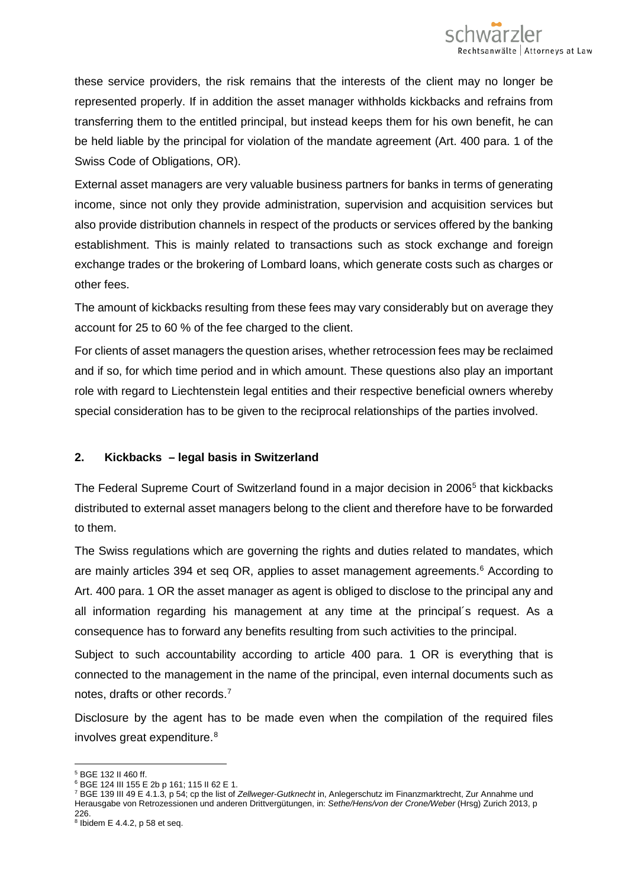these service providers, the risk remains that the interests of the client may no longer be represented properly. If in addition the asset manager withholds kickbacks and refrains from transferring them to the entitled principal, but instead keeps them for his own benefit, he can be held liable by the principal for violation of the mandate agreement (Art. 400 para. 1 of the Swiss Code of Obligations, OR).

External asset managers are very valuable business partners for banks in terms of generating income, since not only they provide administration, supervision and acquisition services but also provide distribution channels in respect of the products or services offered by the banking establishment. This is mainly related to transactions such as stock exchange and foreign exchange trades or the brokering of Lombard loans, which generate costs such as charges or other fees.

The amount of kickbacks resulting from these fees may vary considerably but on average they account for 25 to 60 % of the fee charged to the client.

For clients of asset managers the question arises, whether retrocession fees may be reclaimed and if so, for which time period and in which amount. These questions also play an important role with regard to Liechtenstein legal entities and their respective beneficial owners whereby special consideration has to be given to the reciprocal relationships of the parties involved.

# **2. Kickbacks – legal basis in Switzerland**

The Federal Supreme Court of Switzerland found in a major decision in 2006<sup>[5](#page-1-0)</sup> that kickbacks distributed to external asset managers belong to the client and therefore have to be forwarded to them.

The Swiss regulations which are governing the rights and duties related to mandates, which are mainly articles 394 et seq OR, applies to asset management agreements. [6](#page-1-1) According to Art. 400 para. 1 OR the asset manager as agent is obliged to disclose to the principal any and all information regarding his management at any time at the principal´s request. As a consequence has to forward any benefits resulting from such activities to the principal.

Subject to such accountability according to article 400 para. 1 OR is everything that is connected to the management in the name of the principal, even internal documents such as notes, drafts or other records. [7](#page-1-2)

Disclosure by the agent has to be made even when the compilation of the required files involves great expenditure. [8](#page-1-3)

 $\overline{a}$ <sup>5</sup> BGE 132 II 460 ff.

<span id="page-1-1"></span><span id="page-1-0"></span><sup>6</sup> BGE 124 III 155 E 2b p 161; 115 II 62 E 1.

<span id="page-1-2"></span><sup>7</sup> BGE 139 III 49 E 4.1.3, p 54; cp the list of *Zellweger*-*Gutknecht* in, Anlegerschutz im Finanzmarktrecht, Zur Annahme und Herausgabe von Retrozessionen und anderen Drittvergütungen, in: *Sethe/Hens/von der Crone/Weber* (Hrsg) Zurich 2013, p 226.

<span id="page-1-3"></span><sup>8</sup> Ibidem E 4.4.2, p 58 et seq.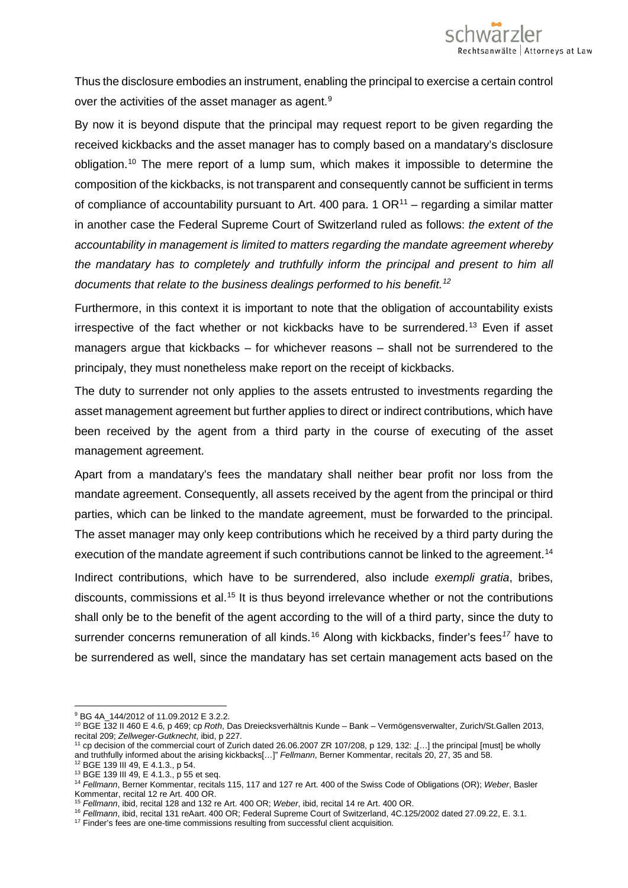Thus the disclosure embodies an instrument, enabling the principal to exercise a certain control over the activities of the asset manager as agent.<sup>[9](#page-2-0)</sup>

By now it is beyond dispute that the principal may request report to be given regarding the received kickbacks and the asset manager has to comply based on a mandatary's disclosure obligation. [10](#page-2-1) The mere report of a lump sum, which makes it impossible to determine the composition of the kickbacks, is not transparent and consequently cannot be sufficient in terms of compliance of accountability pursuant to Art. 400 para. 1  $OR<sup>11</sup>$  $OR<sup>11</sup>$  $OR<sup>11</sup>$  – regarding a similar matter in another case the Federal Supreme Court of Switzerland ruled as follows: *the extent of the accountability in management is limited to matters regarding the mandate agreement whereby the mandatary has to completely and truthfully inform the principal and present to him all documents that relate to the business dealings performed to his benefit. [12](#page-2-3)*

Furthermore, in this context it is important to note that the obligation of accountability exists irrespective of the fact whether or not kickbacks have to be surrendered. [13](#page-2-4) Even if asset managers argue that kickbacks – for whichever reasons – shall not be surrendered to the principaly, they must nonetheless make report on the receipt of kickbacks.

The duty to surrender not only applies to the assets entrusted to investments regarding the asset management agreement but further applies to direct or indirect contributions, which have been received by the agent from a third party in the course of executing of the asset management agreement.

Apart from a mandatary's fees the mandatary shall neither bear profit nor loss from the mandate agreement. Consequently, all assets received by the agent from the principal or third parties, which can be linked to the mandate agreement, must be forwarded to the principal. The asset manager may only keep contributions which he received by a third party during the execution of the mandate agreement if such contributions cannot be linked to the agreement.<sup>[14](#page-2-5)</sup>

Indirect contributions, which have to be surrendered, also include *exempli gratia*, bribes, discounts, commissions et al.<sup>[15](#page-2-6)</sup> It is thus beyond irrelevance whether or not the contributions shall only be to the benefit of the agent according to the will of a third party, since the duty to surrender concerns remuneration of all kinds.<sup>[16](#page-2-7)</sup> Along with kickbacks, finder's fees<sup>[17](#page-2-8)</sup> have to be surrendered as well, since the mandatary has set certain management acts based on the

<sup>12</sup> BGE 139 III 49, E 4.1.3., p 54.

 $\overline{a}$ <sup>9</sup> BG 4A 144/2012 of 11.09.2012 E 3.2.2.

<span id="page-2-1"></span><span id="page-2-0"></span><sup>10</sup> BGE 132 II 460 E 4.6, p 469; cp *Roth*, Das Dreiecksverhältnis Kunde – Bank – Vermögensverwalter, Zurich/St.Gallen 2013, recital 209; *Zellweger*-*Gutknecht*, ibid, p 227.

<span id="page-2-2"></span><sup>11</sup> cp decision of the commercial court of Zurich dated 26.06.2007 ZR 107/208, p 129, 132: "[…] the principal [must] be wholly and truthfully informed about the arising kickbacks[…]" *Fellmann*, Berner Kommentar, recitals 20, 27, 35 and 58.

<span id="page-2-4"></span><span id="page-2-3"></span><sup>13</sup> BGE 139 III 49, E 4.1.3., p 55 et seq.

<span id="page-2-5"></span><sup>14</sup> *Fellmann*, Berner Kommentar, recitals 115, 117 and 127 re Art. 400 of the Swiss Code of Obligations (OR); *Weber*, Basler Kommentar, recital 12 re Art. 400 OR.<br><sup>15</sup> Fellmann, ibid, recital 128 and 132 re Art. 400 OR; Weber, ibid, recital 14 re Art. 400 OR.

<span id="page-2-6"></span>

<span id="page-2-7"></span><sup>&</sup>lt;sup>16</sup> Fellmann, ibid, recital 131 reAart. 400 OR; Federal Supreme Court of Switzerland, 4C.125/2002 dated 27.09.22, E. 3.1.

<span id="page-2-8"></span><sup>&</sup>lt;sup>17</sup> Finder's fees are one-time commissions resulting from successful client acquisition.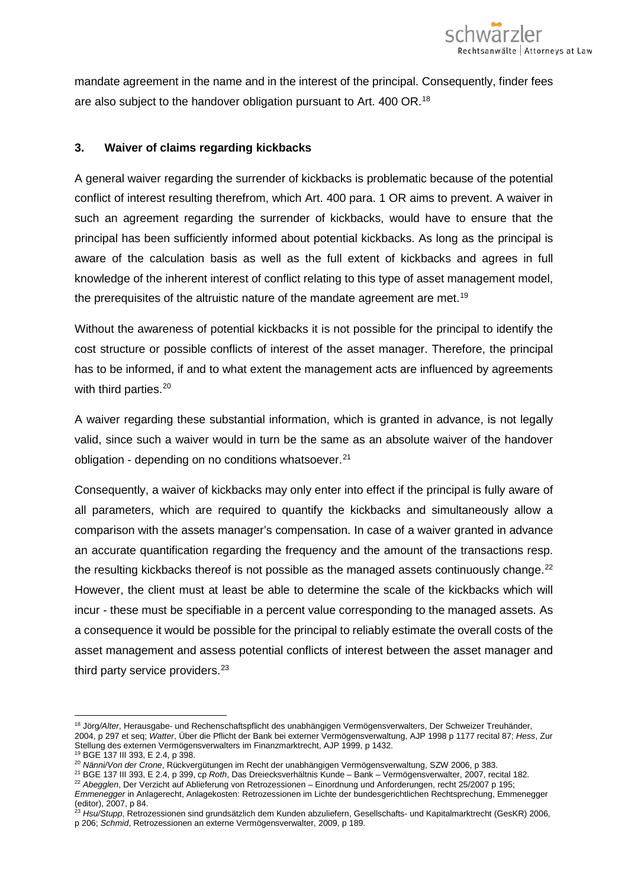

mandate agreement in the name and in the interest of the principal. Consequently, finder fees are also subject to the handover obligation pursuant to Art. 400 OR.<sup>[18](#page-3-0)</sup>

#### **3. Waiver of claims regarding kickbacks**

A general waiver regarding the surrender of kickbacks is problematic because of the potential conflict of interest resulting therefrom, which Art. 400 para. 1 OR aims to prevent. A waiver in such an agreement regarding the surrender of kickbacks, would have to ensure that the principal has been sufficiently informed about potential kickbacks. As long as the principal is aware of the calculation basis as well as the full extent of kickbacks and agrees in full knowledge of the inherent interest of conflict relating to this type of asset management model, the prerequisites of the altruistic nature of the mandate agreement are met.<sup>[19](#page-3-1)</sup>

Without the awareness of potential kickbacks it is not possible for the principal to identify the cost structure or possible conflicts of interest of the asset manager. Therefore, the principal has to be informed, if and to what extent the management acts are influenced by agreements with third parties.<sup>20</sup>

A waiver regarding these substantial information, which is granted in advance, is not legally valid, since such a waiver would in turn be the same as an absolute waiver of the handover obligation - depending on no conditions whatsoever.<sup>[21](#page-3-3)</sup>

Consequently, a waiver of kickbacks may only enter into effect if the principal is fully aware of all parameters, which are required to quantify the kickbacks and simultaneously allow a comparison with the assets manager's compensation. In case of a waiver granted in advance an accurate quantification regarding the frequency and the amount of the transactions resp. the resulting kickbacks thereof is not possible as the managed assets continuously change. $^{22}$  $^{22}$  $^{22}$ However, the client must at least be able to determine the scale of the kickbacks which will incur - these must be specifiable in a percent value corresponding to the managed assets. As a consequence it would be possible for the principal to reliably estimate the overall costs of the asset management and assess potential conflicts of interest between the asset manager and third party service providers.<sup>[23](#page-3-5)</sup>

<span id="page-3-0"></span><sup>18</sup> Jörg*/Alter*, Herausgabe- und Rechenschaftspflicht des unabhängigen Vermögensverwalters, Der Schweizer Treuhänder, 2004, p 297 et seq; *Watter*, Über die Pflicht der Bank bei externer Vermögensverwaltung, AJP 1998 p 1177 recital 87; *Hess*, Zur Stellung des externen Vermögensverwalters im Finanzmarktrecht, AJP 1999, p 1432.

<span id="page-3-1"></span><sup>19</sup> BGE 137 III 393, E 2.4, p 398.

<span id="page-3-2"></span><sup>20</sup> *Nänni/Von der Crone*, Rückvergütungen im Recht der unabhängigen Vermögensverwaltung, SZW 2006, p 383.

<sup>21</sup> BGE 137 III 393, E 2.4, p 399, cp *Roth*, Das Dreiecksverhältnis Kunde – Bank – Vermögensverwalter, 2007, recital 182.

<span id="page-3-4"></span><span id="page-3-3"></span><sup>22</sup> *Abegglen*, Der Verzicht auf Ablieferung von Retrozessionen – Einordnung und Anforderungen, recht 25/2007 p 195; *Emmenegger* in Anlagerecht, Anlagekosten: Retrozessionen im Lichte der bundesgerichtlichen Rechtsprechung, Emmenegger

<span id="page-3-5"></span><sup>(</sup>editor), 2007, p 84. <sup>23</sup> *Hsu/Stupp*, Retrozessionen sind grundsätzlich dem Kunden abzuliefern, Gesellschafts- und Kapitalmarktrecht (GesKR) 2006, p 206; *Schmid*, Retrozessionen an externe Vermögensverwalter, 2009, p 189.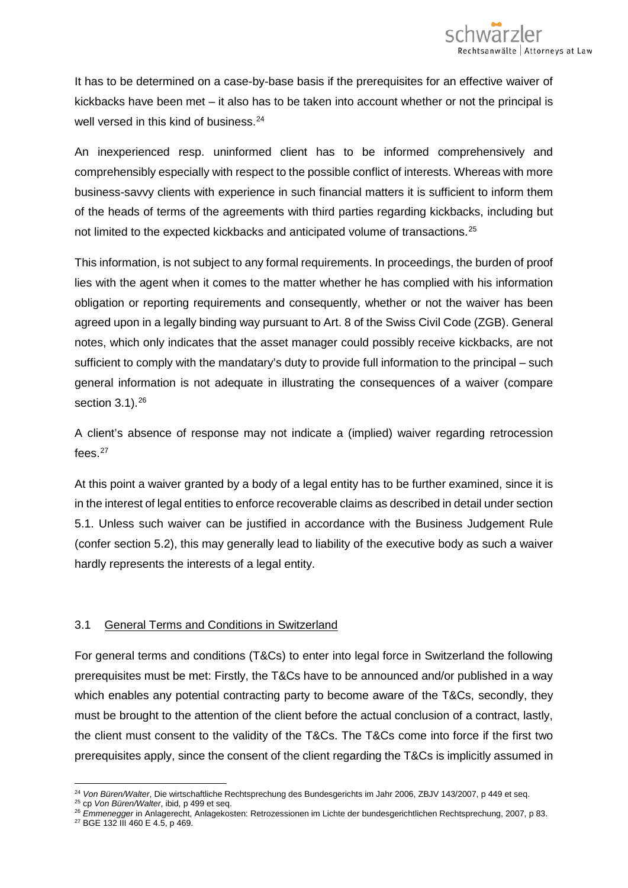It has to be determined on a case-by-base basis if the prerequisites for an effective waiver of kickbacks have been met – it also has to be taken into account whether or not the principal is well versed in this kind of business.<sup>[24](#page-4-0)</sup>

An inexperienced resp. uninformed client has to be informed comprehensively and comprehensibly especially with respect to the possible conflict of interests. Whereas with more business-savvy clients with experience in such financial matters it is sufficient to inform them of the heads of terms of the agreements with third parties regarding kickbacks, including but not limited to the expected kickbacks and anticipated volume of transactions.<sup>[25](#page-4-1)</sup>

This information, is not subject to any formal requirements. In proceedings, the burden of proof lies with the agent when it comes to the matter whether he has complied with his information obligation or reporting requirements and consequently, whether or not the waiver has been agreed upon in a legally binding way pursuant to Art. 8 of the Swiss Civil Code (ZGB). General notes, which only indicates that the asset manager could possibly receive kickbacks, are not sufficient to comply with the mandatary's duty to provide full information to the principal – such general information is not adequate in illustrating the consequences of a waiver (compare section  $3.1$ ).  $26$ 

A client's absence of response may not indicate a (implied) waiver regarding retrocession fees. $27$ 

At this point a waiver granted by a body of a legal entity has to be further examined, since it is in the interest of legal entities to enforce recoverable claims as described in detail under section 5.1. Unless such waiver can be justified in accordance with the Business Judgement Rule (confer section 5.2), this may generally lead to liability of the executive body as such a waiver hardly represents the interests of a legal entity.

# 3.1 General Terms and Conditions in Switzerland

For general terms and conditions (T&Cs) to enter into legal force in Switzerland the following prerequisites must be met: Firstly, the T&Cs have to be announced and/or published in a way which enables any potential contracting party to become aware of the T&Cs, secondly, they must be brought to the attention of the client before the actual conclusion of a contract, lastly, the client must consent to the validity of the T&Cs. The T&Cs come into force if the first two prerequisites apply, since the consent of the client regarding the T&Cs is implicitly assumed in

 $\overline{a}$ <sup>24</sup> *Von Büren/Walter*, Die wirtschaftliche Rechtsprechung des Bundesgerichts im Jahr 2006, ZBJV 143/2007, p 449 et seq.

<span id="page-4-0"></span><sup>25</sup> cp *Von Büren/Walter*, ibid, p 499 et seq.

<span id="page-4-3"></span><span id="page-4-2"></span><span id="page-4-1"></span><sup>26</sup> *Emmenegger* in Anlagerecht, Anlagekosten: Retrozessionen im Lichte der bundesgerichtlichen Rechtsprechung, 2007, p 83. <sup>27</sup> BGE 132 III 460 E 4.5, p 469.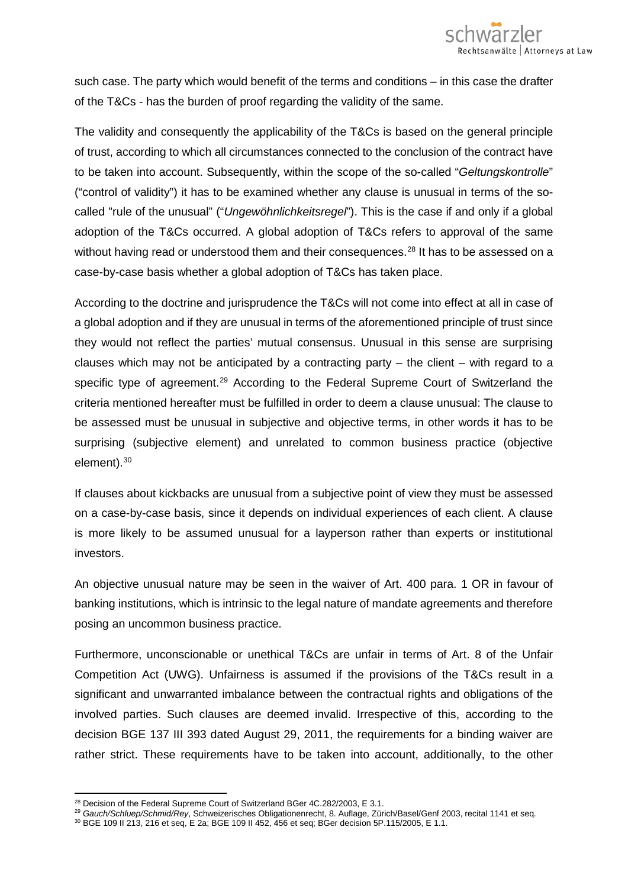such case. The party which would benefit of the terms and conditions – in this case the drafter of the T&Cs - has the burden of proof regarding the validity of the same.

The validity and consequently the applicability of the T&Cs is based on the general principle of trust, according to which all circumstances connected to the conclusion of the contract have to be taken into account. Subsequently, within the scope of the so-called "*Geltungskontrolle*" ("control of validity") it has to be examined whether any clause is unusual in terms of the socalled "rule of the unusual" ("*Ungewöhnlichkeitsregel*"). This is the case if and only if a global adoption of the T&Cs occurred. A global adoption of T&Cs refers to approval of the same without having read or understood them and their consequences.<sup>[28](#page-5-0)</sup> It has to be assessed on a case-by-case basis whether a global adoption of T&Cs has taken place.

According to the doctrine and jurisprudence the T&Cs will not come into effect at all in case of a global adoption and if they are unusual in terms of the aforementioned principle of trust since they would not reflect the parties' mutual consensus. Unusual in this sense are surprising clauses which may not be anticipated by a contracting party  $-$  the client  $-$  with regard to a specific type of agreement.<sup>[29](#page-5-1)</sup> According to the Federal Supreme Court of Switzerland the criteria mentioned hereafter must be fulfilled in order to deem a clause unusual: The clause to be assessed must be unusual in subjective and objective terms, in other words it has to be surprising (subjective element) and unrelated to common business practice (objective element).<sup>[30](#page-5-2)</sup>

If clauses about kickbacks are unusual from a subjective point of view they must be assessed on a case-by-case basis, since it depends on individual experiences of each client. A clause is more likely to be assumed unusual for a layperson rather than experts or institutional investors.

An objective unusual nature may be seen in the waiver of Art. 400 para. 1 OR in favour of banking institutions, which is intrinsic to the legal nature of mandate agreements and therefore posing an uncommon business practice.

Furthermore, unconscionable or unethical T&Cs are unfair in terms of Art. 8 of the Unfair Competition Act (UWG). Unfairness is assumed if the provisions of the T&Cs result in a significant and unwarranted imbalance between the contractual rights and obligations of the involved parties. Such clauses are deemed invalid. Irrespective of this, according to the decision BGE 137 III 393 dated August 29, 2011, the requirements for a binding waiver are rather strict. These requirements have to be taken into account, additionally, to the other

<span id="page-5-0"></span> $^{28}$  Decision of the Federal Supreme Court of Switzerland BGer 4C.282/2003, E 3.1.

<span id="page-5-1"></span><sup>29</sup> *Gauch/Schluep/Schmid/Rey*, Schweizerisches Obligationenrecht, 8. Auflage, Zürich/Basel/Genf 2003, recital 1141 et seq.

<span id="page-5-2"></span><sup>30</sup> BGE 109 II 213, 216 et seq, E 2a; BGE 109 II 452, 456 et seq; BGer decision 5P.115/2005, E 1.1.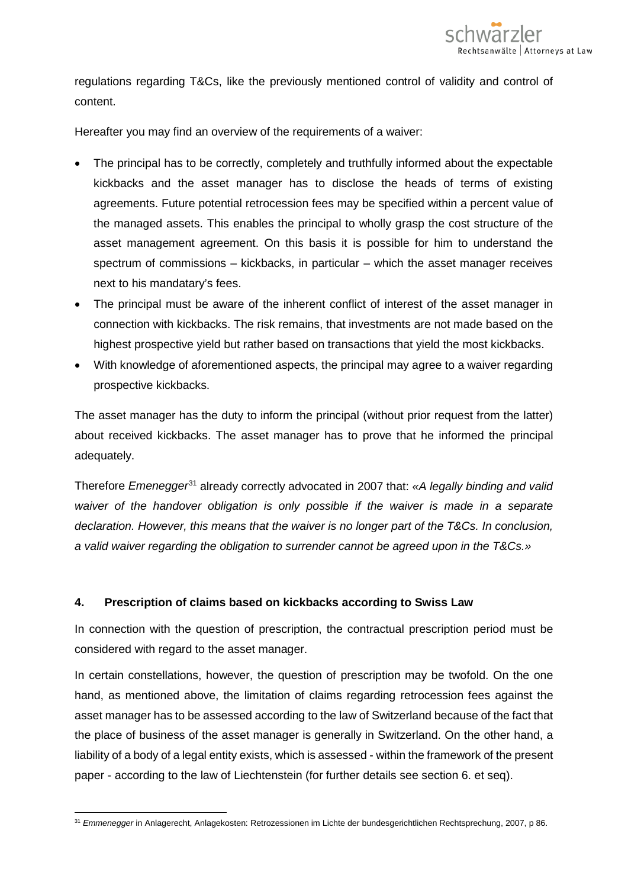

regulations regarding T&Cs, like the previously mentioned control of validity and control of content.

Hereafter you may find an overview of the requirements of a waiver:

- The principal has to be correctly, completely and truthfully informed about the expectable kickbacks and the asset manager has to disclose the heads of terms of existing agreements. Future potential retrocession fees may be specified within a percent value of the managed assets. This enables the principal to wholly grasp the cost structure of the asset management agreement. On this basis it is possible for him to understand the spectrum of commissions – kickbacks, in particular – which the asset manager receives next to his mandatary's fees.
- The principal must be aware of the inherent conflict of interest of the asset manager in connection with kickbacks. The risk remains, that investments are not made based on the highest prospective yield but rather based on transactions that yield the most kickbacks.
- With knowledge of aforementioned aspects, the principal may agree to a waiver regarding prospective kickbacks.

The asset manager has the duty to inform the principal (without prior request from the latter) about received kickbacks. The asset manager has to prove that he informed the principal adequately.

Therefore *Emenegger*[31](#page-6-0) already correctly advocated in 2007 that: *«A legally binding and valid waiver of the handover obligation is only possible if the waiver is made in a separate declaration. However, this means that the waiver is no longer part of the T&Cs. In conclusion, a valid waiver regarding the obligation to surrender cannot be agreed upon in the T&Cs.»*

# **4. Prescription of claims based on kickbacks according to Swiss Law**

In connection with the question of prescription, the contractual prescription period must be considered with regard to the asset manager.

In certain constellations, however, the question of prescription may be twofold. On the one hand, as mentioned above, the limitation of claims regarding retrocession fees against the asset manager has to be assessed according to the law of Switzerland because of the fact that the place of business of the asset manager is generally in Switzerland. On the other hand, a liability of a body of a legal entity exists, which is assessed - within the framework of the present paper - according to the law of Liechtenstein (for further details see section 6. et seq).

<span id="page-6-0"></span> $\overline{a}$ <sup>31</sup> *Emmenegger* in Anlagerecht, Anlagekosten: Retrozessionen im Lichte der bundesgerichtlichen Rechtsprechung, 2007, p 86.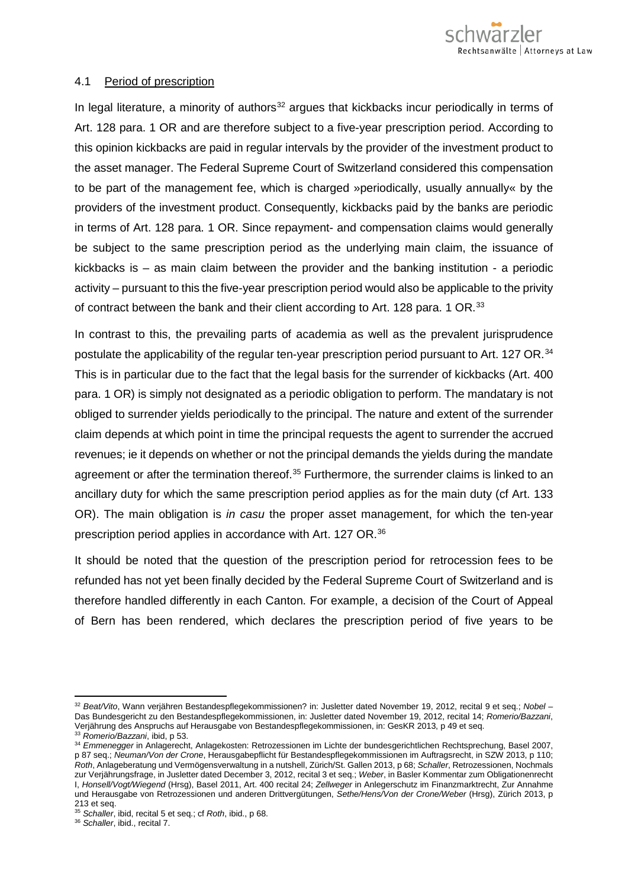

#### 4.1 Period of prescription

In legal literature, a minority of authors $32$  argues that kickbacks incur periodically in terms of Art. 128 para. 1 OR and are therefore subject to a five-year prescription period. According to this opinion kickbacks are paid in regular intervals by the provider of the investment product to the asset manager. The Federal Supreme Court of Switzerland considered this compensation to be part of the management fee, which is charged »periodically, usually annually« by the providers of the investment product. Consequently, kickbacks paid by the banks are periodic in terms of Art. 128 para. 1 OR. Since repayment- and compensation claims would generally be subject to the same prescription period as the underlying main claim, the issuance of kickbacks is – as main claim between the provider and the banking institution - a periodic activity – pursuant to this the five-year prescription period would also be applicable to the privity of contract between the bank and their client according to Art. 128 para. 1 OR.<sup>[33](#page-7-1)</sup>

In contrast to this, the prevailing parts of academia as well as the prevalent jurisprudence postulate the applicability of the regular ten-year prescription period pursuant to Art. 127 OR.<sup>[34](#page-7-2)</sup> This is in particular due to the fact that the legal basis for the surrender of kickbacks (Art. 400 para. 1 OR) is simply not designated as a periodic obligation to perform. The mandatary is not obliged to surrender yields periodically to the principal. The nature and extent of the surrender claim depends at which point in time the principal requests the agent to surrender the accrued revenues; ie it depends on whether or not the principal demands the yields during the mandate agreement or after the termination thereof.<sup>[35](#page-7-3)</sup> Furthermore, the surrender claims is linked to an ancillary duty for which the same prescription period applies as for the main duty (cf Art. 133 OR). The main obligation is *in casu* the proper asset management, for which the ten-year prescription period applies in accordance with Art. 127 OR.<sup>[36](#page-7-4)</sup>

It should be noted that the question of the prescription period for retrocession fees to be refunded has not yet been finally decided by the Federal Supreme Court of Switzerland and is therefore handled differently in each Canton. For example, a decision of the Court of Appeal of Bern has been rendered, which declares the prescription period of five years to be

<span id="page-7-0"></span><sup>32</sup> *Beat/Vito*, Wann verjähren Bestandespflegekommissionen? in: Jusletter dated November 19, 2012, recital 9 et seq.; *Nobel* – Das Bundesgericht zu den Bestandespflegekommissionen, in: Jusletter dated November 19, 2012, recital 14; *Romerio/Bazzani*, Verjährung des Anspruchs auf Herausgabe von Bestandespflegekommissionen, in: GesKR 2013, p 49 et seq.

<sup>33</sup> *Romerio/Bazzani*, ibid, p 53.

<span id="page-7-2"></span><span id="page-7-1"></span><sup>34</sup> *Emmenegger* in Anlagerecht, Anlagekosten: Retrozessionen im Lichte der bundesgerichtlichen Rechtsprechung, Basel 2007, p 87 seq.; *Neuman/Von der Crone*, Herausgabepflicht für Bestandespflegekommissionen im Auftragsrecht, in SZW 2013, p 110; *Roth*, Anlageberatung und Vermögensverwaltung in a nutshell, Zürich/St. Gallen 2013, p 68; *Schaller*, Retrozessionen, Nochmals zur Verjährungsfrage, in Jusletter dated December 3, 2012, recital 3 et seq.; *Weber*, in Basler Kommentar zum Obligationenrecht I, *Honsell/Vogt/Wiegend* (Hrsg), Basel 2011, Art. 400 recital 24; *Zellweger* in Anlegerschutz im Finanzmarktrecht, Zur Annahme und Herausgabe von Retrozessionen und anderen Drittvergütungen, *Sethe/Hens/Von der Crone/Weber* (Hrsg), Zürich 2013, p 213 et seq.

<span id="page-7-3"></span><sup>35</sup> *Schaller*, ibid, recital 5 et seq.; cf *Roth*, ibid., p 68.

<span id="page-7-4"></span><sup>36</sup> *Schaller*, ibid., recital 7.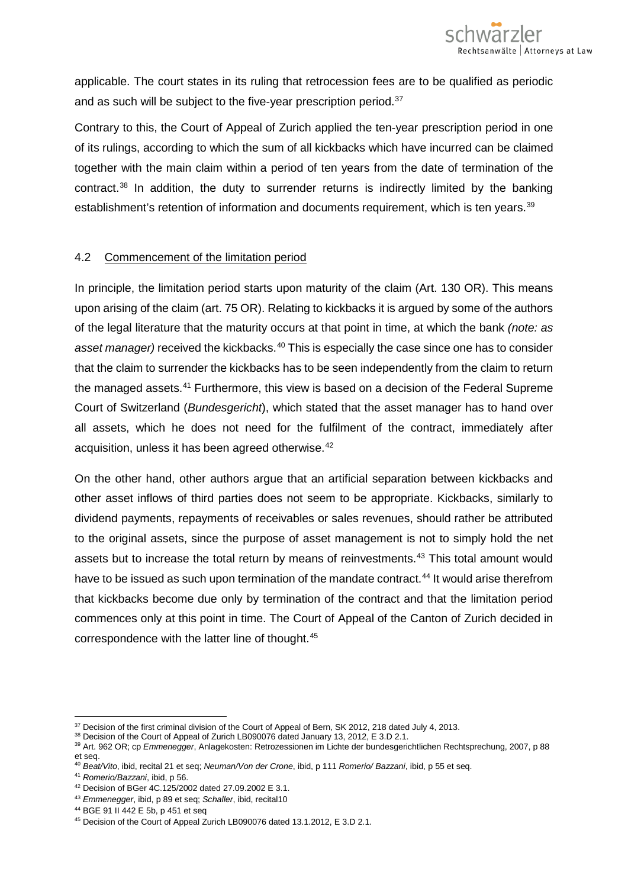applicable. The court states in its ruling that retrocession fees are to be qualified as periodic and as such will be subject to the five-year prescription period.<sup>[37](#page-8-0)</sup>

Contrary to this, the Court of Appeal of Zurich applied the ten-year prescription period in one of its rulings, according to which the sum of all kickbacks which have incurred can be claimed together with the main claim within a period of ten years from the date of termination of the contract.<sup>[38](#page-8-1)</sup> In addition, the duty to surrender returns is indirectly limited by the banking establishment's retention of information and documents requirement, which is ten years.<sup>39</sup>

### 4.2 Commencement of the limitation period

In principle, the limitation period starts upon maturity of the claim (Art. 130 OR). This means upon arising of the claim (art. 75 OR). Relating to kickbacks it is argued by some of the authors of the legal literature that the maturity occurs at that point in time, at which the bank *(note: as*  asset manager) received the kickbacks.<sup>[40](#page-8-3)</sup> This is especially the case since one has to consider that the claim to surrender the kickbacks has to be seen independently from the claim to return the managed assets.[41](#page-8-4) Furthermore, this view is based on a decision of the Federal Supreme Court of Switzerland (*Bundesgericht*), which stated that the asset manager has to hand over all assets, which he does not need for the fulfilment of the contract, immediately after acquisition, unless it has been agreed otherwise.<sup>[42](#page-8-5)</sup>

On the other hand, other authors argue that an artificial separation between kickbacks and other asset inflows of third parties does not seem to be appropriate. Kickbacks, similarly to dividend payments, repayments of receivables or sales revenues, should rather be attributed to the original assets, since the purpose of asset management is not to simply hold the net assets but to increase the total return by means of reinvestments.<sup>[43](#page-8-6)</sup> This total amount would have to be issued as such upon termination of the mandate contract.<sup>[44](#page-8-7)</sup> It would arise therefrom that kickbacks become due only by termination of the contract and that the limitation period commences only at this point in time. The Court of Appeal of the Canton of Zurich decided in correspondence with the latter line of thought.[45](#page-8-8)

<span id="page-8-0"></span> $37$  Decision of the first criminal division of the Court of Appeal of Bern, SK 2012, 218 dated July 4, 2013.

<span id="page-8-1"></span><sup>&</sup>lt;sup>38</sup> Decision of the Court of Appeal of Zurich LB090076 dated January 13, 2012, E 3.D 2.1.

<span id="page-8-2"></span><sup>39</sup> Art. 962 OR; cp *Emmenegger*, Anlagekosten: Retrozessionen im Lichte der bundesgerichtlichen Rechtsprechung, 2007, p 88 et seq.

<span id="page-8-3"></span><sup>40</sup> *Beat/Vito*, ibid, recital 21 et seq; *Neuman/Von der Crone*, ibid, p 111 *Romerio/ Bazzani*, ibid, p 55 et seq.

<span id="page-8-4"></span><sup>41</sup> *Romerio/Bazzani*, ibid, p 56.

<sup>42</sup> Decision of BGer 4C.125/2002 dated 27.09.2002 E 3.1.

<span id="page-8-8"></span>

<span id="page-8-7"></span><span id="page-8-6"></span><span id="page-8-5"></span><sup>43</sup> *Emmenegger*, ibid, p 89 et seq; *Schaller*, ibid, recital10<br><sup>44</sup> BGE 91 II 442 E 5b, p 451 et seq<br><sup>45</sup> Decision of the Court of Appeal Zurich LB090076 dated 13.1.2012, E 3.D 2.1.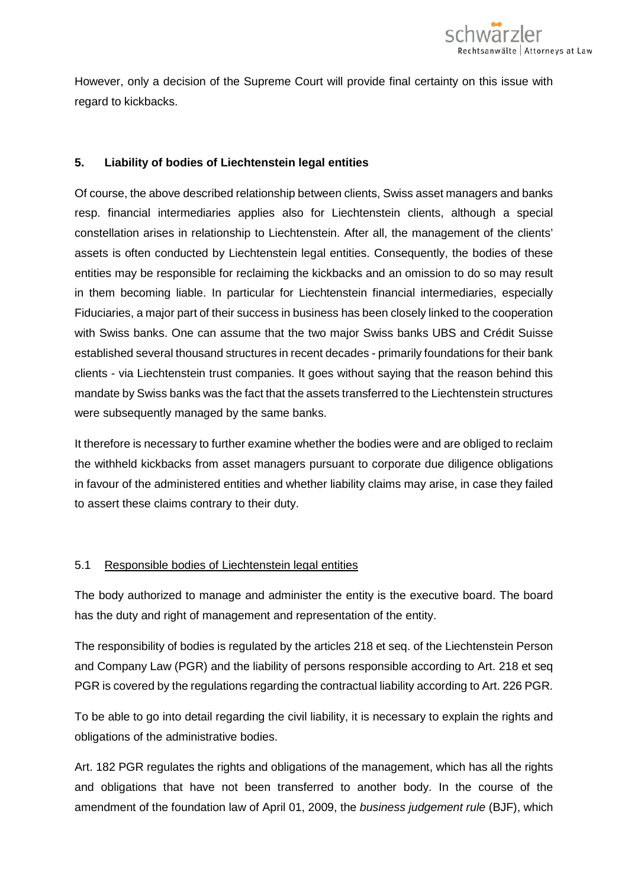

However, only a decision of the Supreme Court will provide final certainty on this issue with regard to kickbacks.

#### **5. Liability of bodies of Liechtenstein legal entities**

Of course, the above described relationship between clients, Swiss asset managers and banks resp. financial intermediaries applies also for Liechtenstein clients, although a special constellation arises in relationship to Liechtenstein. After all, the management of the clients' assets is often conducted by Liechtenstein legal entities. Consequently, the bodies of these entities may be responsible for reclaiming the kickbacks and an omission to do so may result in them becoming liable. In particular for Liechtenstein financial intermediaries, especially Fiduciaries, a major part of their success in business has been closely linked to the cooperation with Swiss banks. One can assume that the two major Swiss banks UBS and Crédit Suisse established several thousand structures in recent decades - primarily foundations for their bank clients - via Liechtenstein trust companies. It goes without saying that the reason behind this mandate by Swiss banks was the fact that the assets transferred to the Liechtenstein structures were subsequently managed by the same banks.

It therefore is necessary to further examine whether the bodies were and are obliged to reclaim the withheld kickbacks from asset managers pursuant to corporate due diligence obligations in favour of the administered entities and whether liability claims may arise, in case they failed to assert these claims contrary to their duty.

#### 5.1 Responsible bodies of Liechtenstein legal entities

The body authorized to manage and administer the entity is the executive board. The board has the duty and right of management and representation of the entity.

The responsibility of bodies is regulated by the articles 218 et seq. of the Liechtenstein Person and Company Law (PGR) and the liability of persons responsible according to Art. 218 et seq PGR is covered by the regulations regarding the contractual liability according to Art. 226 PGR.

To be able to go into detail regarding the civil liability, it is necessary to explain the rights and obligations of the administrative bodies.

Art. 182 PGR regulates the rights and obligations of the management, which has all the rights and obligations that have not been transferred to another body. In the course of the amendment of the foundation law of April 01, 2009, the *business judgement rule* (BJF), which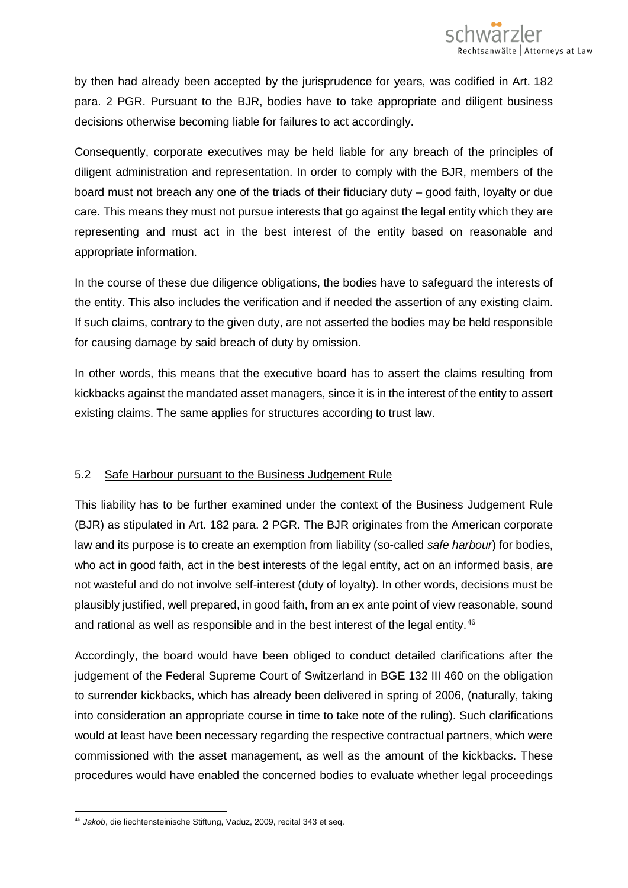by then had already been accepted by the jurisprudence for years, was codified in Art. 182 para. 2 PGR. Pursuant to the BJR, bodies have to take appropriate and diligent business decisions otherwise becoming liable for failures to act accordingly.

Consequently, corporate executives may be held liable for any breach of the principles of diligent administration and representation. In order to comply with the BJR, members of the board must not breach any one of the triads of their fiduciary duty – good faith, loyalty or due care. This means they must not pursue interests that go against the legal entity which they are representing and must act in the best interest of the entity based on reasonable and appropriate information.

In the course of these due diligence obligations, the bodies have to safeguard the interests of the entity. This also includes the verification and if needed the assertion of any existing claim. If such claims, contrary to the given duty, are not asserted the bodies may be held responsible for causing damage by said breach of duty by omission.

In other words, this means that the executive board has to assert the claims resulting from kickbacks against the mandated asset managers, since it is in the interest of the entity to assert existing claims. The same applies for structures according to trust law.

# 5.2 Safe Harbour pursuant to the Business Judgement Rule

This liability has to be further examined under the context of the Business Judgement Rule (BJR) as stipulated in Art. 182 para. 2 PGR. The BJR originates from the American corporate law and its purpose is to create an exemption from liability (so-called *safe harbour*) for bodies, who act in good faith, act in the best interests of the legal entity, act on an informed basis, are not wasteful and do not involve self-interest (duty of loyalty). In other words, decisions must be plausibly justified, well prepared, in good faith, from an ex ante point of view reasonable, sound and rational as well as responsible and in the best interest of the legal entity.<sup>[46](#page-10-0)</sup>

Accordingly, the board would have been obliged to conduct detailed clarifications after the judgement of the Federal Supreme Court of Switzerland in BGE 132 III 460 on the obligation to surrender kickbacks, which has already been delivered in spring of 2006, (naturally, taking into consideration an appropriate course in time to take note of the ruling). Such clarifications would at least have been necessary regarding the respective contractual partners, which were commissioned with the asset management, as well as the amount of the kickbacks. These procedures would have enabled the concerned bodies to evaluate whether legal proceedings

<span id="page-10-0"></span> $\overline{a}$ <sup>46</sup> *Jakob*, die liechtensteinische Stiftung, Vaduz, 2009, recital 343 et seq.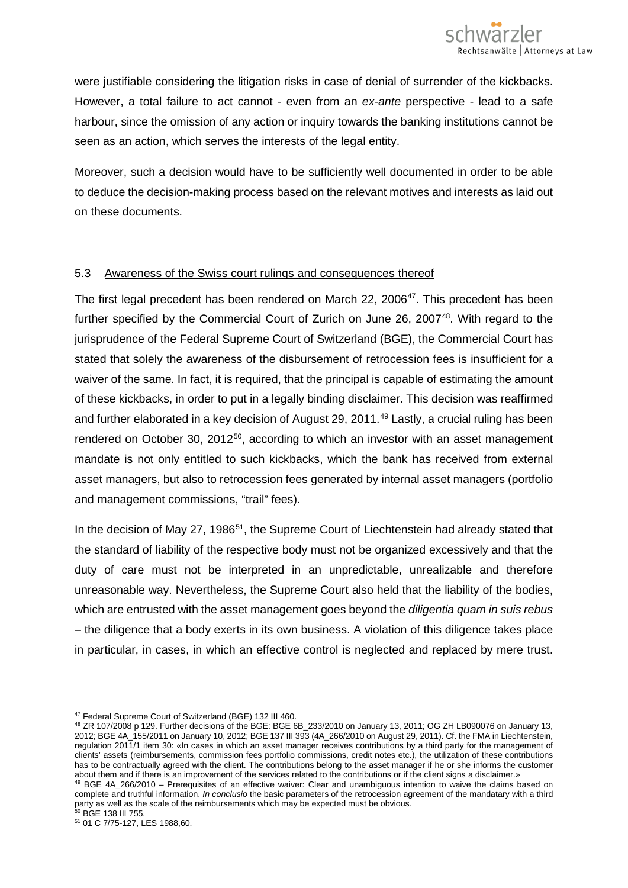were justifiable considering the litigation risks in case of denial of surrender of the kickbacks. However, a total failure to act cannot - even from an *ex-ante* perspective - lead to a safe harbour, since the omission of any action or inquiry towards the banking institutions cannot be seen as an action, which serves the interests of the legal entity.

Moreover, such a decision would have to be sufficiently well documented in order to be able to deduce the decision-making process based on the relevant motives and interests as laid out on these documents.

# 5.3 Awareness of the Swiss court rulings and consequences thereof

The first legal precedent has been rendered on March 22, 2006<sup>[47](#page-11-0)</sup>. This precedent has been further specified by the Commercial Court of Zurich on June 26, 2007<sup>48</sup>. With regard to the jurisprudence of the Federal Supreme Court of Switzerland (BGE), the Commercial Court has stated that solely the awareness of the disbursement of retrocession fees is insufficient for a waiver of the same. In fact, it is required, that the principal is capable of estimating the amount of these kickbacks, in order to put in a legally binding disclaimer. This decision was reaffirmed and further elaborated in a key decision of August 29, 2011.<sup>[49](#page-11-2)</sup> Lastly, a crucial ruling has been rendered on October 30, 2012<sup>[50](#page-11-3)</sup>, according to which an investor with an asset management mandate is not only entitled to such kickbacks, which the bank has received from external asset managers, but also to retrocession fees generated by internal asset managers (portfolio and management commissions, "trail" fees).

In the decision of May 27, 1986<sup>51</sup>, the Supreme Court of Liechtenstein had already stated that the standard of liability of the respective body must not be organized excessively and that the duty of care must not be interpreted in an unpredictable, unrealizable and therefore unreasonable way. Nevertheless, the Supreme Court also held that the liability of the bodies, which are entrusted with the asset management goes beyond the *diligentia quam in suis rebus*  – the diligence that a body exerts in its own business. A violation of this diligence takes place in particular, in cases, in which an effective control is neglected and replaced by mere trust.

<span id="page-11-2"></span> $49$  BGE 4A\_266/2010 – Prerequisites of an effective waiver: Clear and unambiguous intention to waive the claims based on complete and truthful information. *In conclusio* the basic parameters of the retrocession agreement of the mandatary with a third party as well as the scale of the reimbursements which may be expected must be obvious.

 $\overline{a}$ <sup>47</sup> Federal Supreme Court of Switzerland (BGE) 132 III 460.

<span id="page-11-1"></span><span id="page-11-0"></span><sup>48</sup> ZR 107/2008 p 129. Further decisions of the BGE: BGE 6B\_233/2010 on January 13, 2011; OG ZH LB090076 on January 13, 2012; BGE 4A\_155/2011 on January 10, 2012; BGE 137 III 393 (4A\_266/2010 on August 29, 2011). Cf. the FMA in Liechtenstein, regulation 2011/1 item 30: «In cases in which an asset manager receives contributions by a third party for the management of clients' assets (reimbursements, commission fees portfolio commissions, credit notes etc.), the utilization of these contributions has to be contractually agreed with the client. The contributions belong to the asset manager if he or she informs the customer about them and if there is an improvement of the services related to the contributions or if the client signs a disclaimer.»

<span id="page-11-3"></span><sup>50</sup> BGE 138 III 755.

<span id="page-11-4"></span><sup>51</sup> 01 C 7/75-127, LES 1988,60.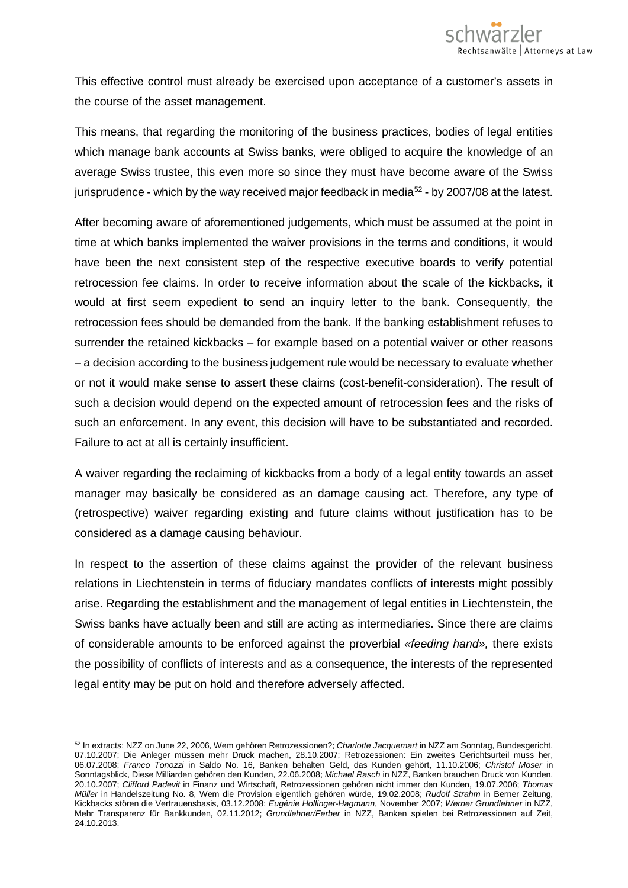

This effective control must already be exercised upon acceptance of a customer's assets in the course of the asset management.

This means, that regarding the monitoring of the business practices, bodies of legal entities which manage bank accounts at Swiss banks, were obliged to acquire the knowledge of an average Swiss trustee, this even more so since they must have become aware of the Swiss jurisprudence - which by the way received major feedback in media<sup>[52](#page-12-0)</sup> - by 2007/08 at the latest.

After becoming aware of aforementioned judgements, which must be assumed at the point in time at which banks implemented the waiver provisions in the terms and conditions, it would have been the next consistent step of the respective executive boards to verify potential retrocession fee claims. In order to receive information about the scale of the kickbacks, it would at first seem expedient to send an inquiry letter to the bank. Consequently, the retrocession fees should be demanded from the bank. If the banking establishment refuses to surrender the retained kickbacks – for example based on a potential waiver or other reasons – a decision according to the business judgement rule would be necessary to evaluate whether or not it would make sense to assert these claims (cost-benefit-consideration). The result of such a decision would depend on the expected amount of retrocession fees and the risks of such an enforcement. In any event, this decision will have to be substantiated and recorded. Failure to act at all is certainly insufficient.

A waiver regarding the reclaiming of kickbacks from a body of a legal entity towards an asset manager may basically be considered as an damage causing act. Therefore, any type of (retrospective) waiver regarding existing and future claims without justification has to be considered as a damage causing behaviour.

In respect to the assertion of these claims against the provider of the relevant business relations in Liechtenstein in terms of fiduciary mandates conflicts of interests might possibly arise. Regarding the establishment and the management of legal entities in Liechtenstein, the Swiss banks have actually been and still are acting as intermediaries. Since there are claims of considerable amounts to be enforced against the proverbial *«feeding hand»,* there exists the possibility of conflicts of interests and as a consequence, the interests of the represented legal entity may be put on hold and therefore adversely affected.

<span id="page-12-0"></span><sup>52</sup> In extracts: NZZ on June 22, 2006, Wem gehören Retrozessionen?; *Charlotte Jacquemart* in NZZ am Sonntag, Bundesgericht, 07.10.2007; Die Anleger müssen mehr Druck machen, 28.10.2007; Retrozessionen: Ein zweites Gerichtsurteil muss her, 06.07.2008; *Franco Tonozzi* in Saldo No. 16, Banken behalten Geld, das Kunden gehört, 11.10.2006; *Christof Moser* in Sonntagsblick, Diese Milliarden gehören den Kunden, 22.06.2008; *Michael Rasch* in NZZ, Banken brauchen Druck von Kunden, 20.10.2007; *Clifford Padevit* in Finanz und Wirtschaft, Retrozessionen gehören nicht immer den Kunden, 19.07.2006; *Thomas Müller* in Handelszeitung No. 8, Wem die Provision eigentlich gehören würde, 19.02.2008; *Rudolf Strahm* in Berner Zeitung, Kickbacks stören die Vertrauensbasis, 03.12.2008; *Eugénie Hollinger-Hagmann*, November 2007; *Werner Grundlehner* in NZZ, Mehr Transparenz für Bankkunden, 02.11.2012; *Grundlehner/Ferber* in NZZ, Banken spielen bei Retrozessionen auf Zeit, 24.10.2013.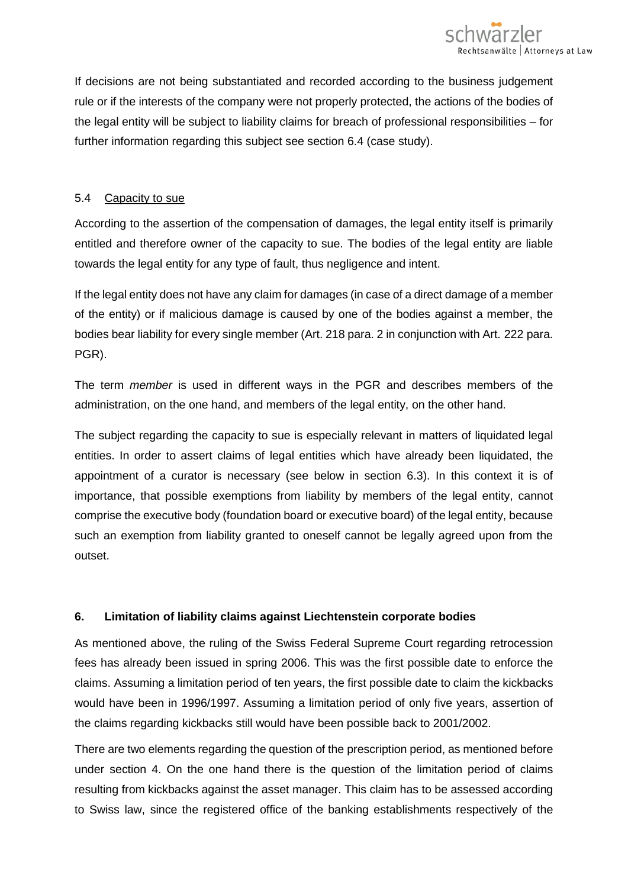

If decisions are not being substantiated and recorded according to the business judgement rule or if the interests of the company were not properly protected, the actions of the bodies of the legal entity will be subject to liability claims for breach of professional responsibilities – for further information regarding this subject see section 6.4 (case study).

### 5.4 Capacity to sue

According to the assertion of the compensation of damages, the legal entity itself is primarily entitled and therefore owner of the capacity to sue. The bodies of the legal entity are liable towards the legal entity for any type of fault, thus negligence and intent.

If the legal entity does not have any claim for damages (in case of a direct damage of a member of the entity) or if malicious damage is caused by one of the bodies against a member, the bodies bear liability for every single member (Art. 218 para. 2 in conjunction with Art. 222 para. PGR).

The term *member* is used in different ways in the PGR and describes members of the administration, on the one hand, and members of the legal entity, on the other hand.

The subject regarding the capacity to sue is especially relevant in matters of liquidated legal entities. In order to assert claims of legal entities which have already been liquidated, the appointment of a curator is necessary (see below in section 6.3). In this context it is of importance, that possible exemptions from liability by members of the legal entity, cannot comprise the executive body (foundation board or executive board) of the legal entity, because such an exemption from liability granted to oneself cannot be legally agreed upon from the outset.

# **6. Limitation of liability claims against Liechtenstein corporate bodies**

As mentioned above, the ruling of the Swiss Federal Supreme Court regarding retrocession fees has already been issued in spring 2006. This was the first possible date to enforce the claims. Assuming a limitation period of ten years, the first possible date to claim the kickbacks would have been in 1996/1997. Assuming a limitation period of only five years, assertion of the claims regarding kickbacks still would have been possible back to 2001/2002.

There are two elements regarding the question of the prescription period, as mentioned before under section 4. On the one hand there is the question of the limitation period of claims resulting from kickbacks against the asset manager. This claim has to be assessed according to Swiss law, since the registered office of the banking establishments respectively of the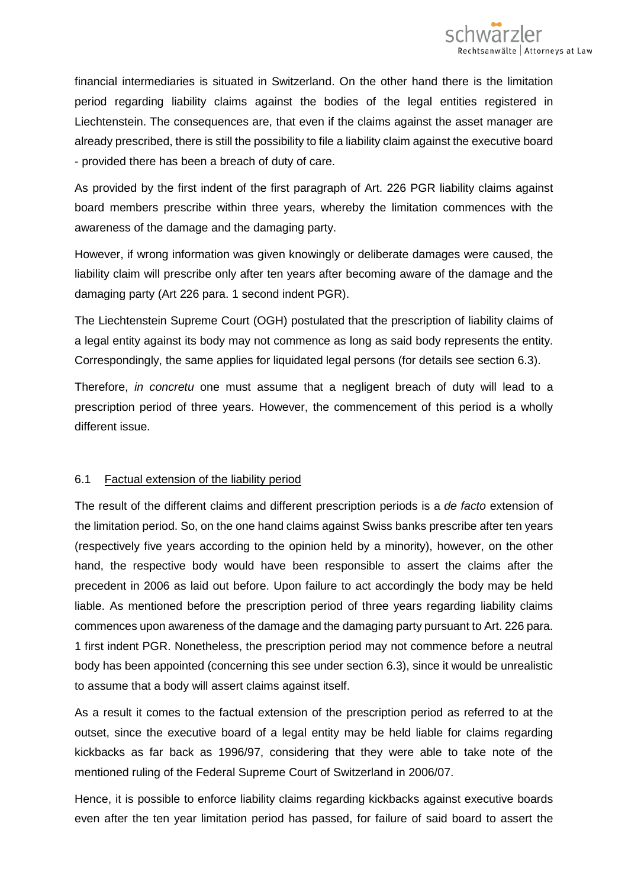

financial intermediaries is situated in Switzerland. On the other hand there is the limitation period regarding liability claims against the bodies of the legal entities registered in Liechtenstein. The consequences are, that even if the claims against the asset manager are already prescribed, there is still the possibility to file a liability claim against the executive board - provided there has been a breach of duty of care.

As provided by the first indent of the first paragraph of Art. 226 PGR liability claims against board members prescribe within three years, whereby the limitation commences with the awareness of the damage and the damaging party.

However, if wrong information was given knowingly or deliberate damages were caused, the liability claim will prescribe only after ten years after becoming aware of the damage and the damaging party (Art 226 para. 1 second indent PGR).

The Liechtenstein Supreme Court (OGH) postulated that the prescription of liability claims of a legal entity against its body may not commence as long as said body represents the entity. Correspondingly, the same applies for liquidated legal persons (for details see section 6.3).

Therefore, *in concretu* one must assume that a negligent breach of duty will lead to a prescription period of three years. However, the commencement of this period is a wholly different issue.

#### 6.1 Factual extension of the liability period

The result of the different claims and different prescription periods is a *de facto* extension of the limitation period. So, on the one hand claims against Swiss banks prescribe after ten years (respectively five years according to the opinion held by a minority), however, on the other hand, the respective body would have been responsible to assert the claims after the precedent in 2006 as laid out before. Upon failure to act accordingly the body may be held liable. As mentioned before the prescription period of three years regarding liability claims commences upon awareness of the damage and the damaging party pursuant to Art. 226 para. 1 first indent PGR. Nonetheless, the prescription period may not commence before a neutral body has been appointed (concerning this see under section 6.3), since it would be unrealistic to assume that a body will assert claims against itself.

As a result it comes to the factual extension of the prescription period as referred to at the outset, since the executive board of a legal entity may be held liable for claims regarding kickbacks as far back as 1996/97, considering that they were able to take note of the mentioned ruling of the Federal Supreme Court of Switzerland in 2006/07.

Hence, it is possible to enforce liability claims regarding kickbacks against executive boards even after the ten year limitation period has passed, for failure of said board to assert the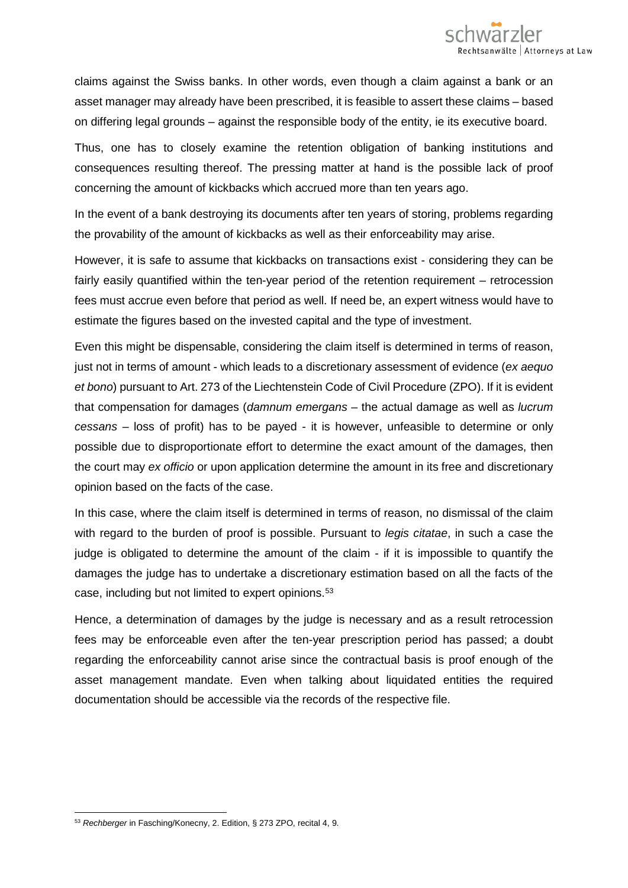claims against the Swiss banks. In other words, even though a claim against a bank or an asset manager may already have been prescribed, it is feasible to assert these claims – based on differing legal grounds – against the responsible body of the entity, ie its executive board.

Thus, one has to closely examine the retention obligation of banking institutions and consequences resulting thereof. The pressing matter at hand is the possible lack of proof concerning the amount of kickbacks which accrued more than ten years ago.

In the event of a bank destroying its documents after ten years of storing, problems regarding the provability of the amount of kickbacks as well as their enforceability may arise.

However, it is safe to assume that kickbacks on transactions exist - considering they can be fairly easily quantified within the ten-year period of the retention requirement – retrocession fees must accrue even before that period as well. If need be, an expert witness would have to estimate the figures based on the invested capital and the type of investment.

Even this might be dispensable, considering the claim itself is determined in terms of reason, just not in terms of amount - which leads to a discretionary assessment of evidence (*ex aequo et bono*) pursuant to Art. 273 of the Liechtenstein Code of Civil Procedure (ZPO). If it is evident that compensation for damages (*damnum emergans –* the actual damage as well as *lucrum cessans* – loss of profit) has to be payed - it is however, unfeasible to determine or only possible due to disproportionate effort to determine the exact amount of the damages, then the court may *ex officio* or upon application determine the amount in its free and discretionary opinion based on the facts of the case.

In this case, where the claim itself is determined in terms of reason, no dismissal of the claim with regard to the burden of proof is possible. Pursuant to *legis citatae*, in such a case the judge is obligated to determine the amount of the claim - if it is impossible to quantify the damages the judge has to undertake a discretionary estimation based on all the facts of the case, including but not limited to expert opinions.<sup>[53](#page-15-0)</sup>

Hence, a determination of damages by the judge is necessary and as a result retrocession fees may be enforceable even after the ten-year prescription period has passed; a doubt regarding the enforceability cannot arise since the contractual basis is proof enough of the asset management mandate. Even when talking about liquidated entities the required documentation should be accessible via the records of the respective file.

<span id="page-15-0"></span> $\overline{a}$ <sup>53</sup> *Rechberger* in Fasching/Konecny, 2. Edition, § 273 ZPO, recital 4, 9.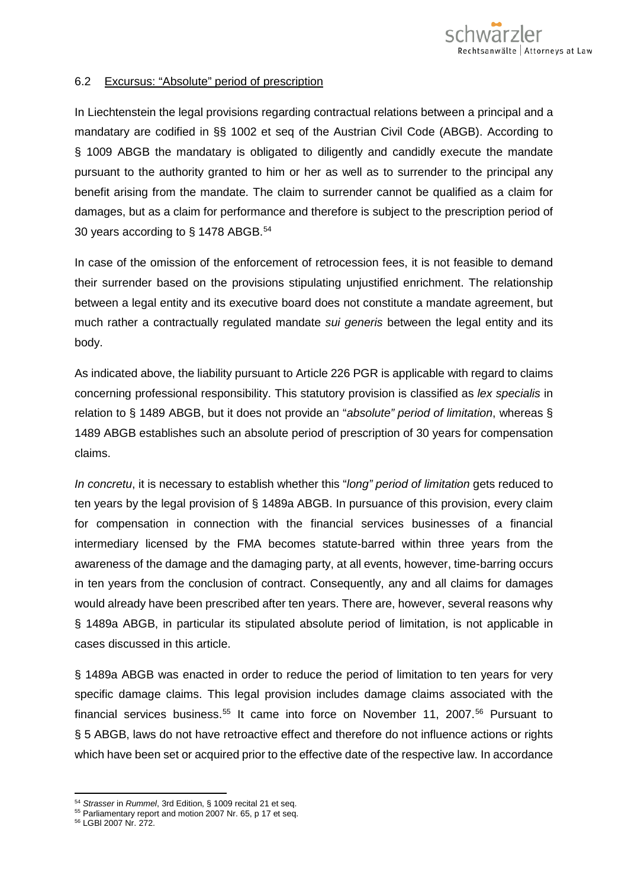

#### 6.2 Excursus: "Absolute" period of prescription

In Liechtenstein the legal provisions regarding contractual relations between a principal and a mandatary are codified in §§ 1002 et seq of the Austrian Civil Code (ABGB). According to § 1009 ABGB the mandatary is obligated to diligently and candidly execute the mandate pursuant to the authority granted to him or her as well as to surrender to the principal any benefit arising from the mandate. The claim to surrender cannot be qualified as a claim for damages, but as a claim for performance and therefore is subject to the prescription period of 30 years according to § 1478 ABGB.[54](#page-16-0)

In case of the omission of the enforcement of retrocession fees, it is not feasible to demand their surrender based on the provisions stipulating unjustified enrichment. The relationship between a legal entity and its executive board does not constitute a mandate agreement, but much rather a contractually regulated mandate *sui generis* between the legal entity and its body.

As indicated above, the liability pursuant to Article 226 PGR is applicable with regard to claims concerning professional responsibility. This statutory provision is classified as *lex specialis* in relation to § 1489 ABGB, but it does not provide an "*absolute" period of limitation*, whereas § 1489 ABGB establishes such an absolute period of prescription of 30 years for compensation claims.

*In concretu*, it is necessary to establish whether this "*long" period of limitation* gets reduced to ten years by the legal provision of § 1489a ABGB. In pursuance of this provision, every claim for compensation in connection with the financial services businesses of a financial intermediary licensed by the FMA becomes statute-barred within three years from the awareness of the damage and the damaging party, at all events, however, time-barring occurs in ten years from the conclusion of contract. Consequently, any and all claims for damages would already have been prescribed after ten years. There are, however, several reasons why § 1489a ABGB, in particular its stipulated absolute period of limitation, is not applicable in cases discussed in this article.

§ 1489a ABGB was enacted in order to reduce the period of limitation to ten years for very specific damage claims. This legal provision includes damage claims associated with the financial services business.<sup>[55](#page-16-1)</sup> It came into force on November 11, 2007.<sup>[56](#page-16-2)</sup> Pursuant to § 5 ABGB, laws do not have retroactive effect and therefore do not influence actions or rights which have been set or acquired prior to the effective date of the respective law. In accordance

<span id="page-16-2"></span><span id="page-16-1"></span><sup>56</sup> LGBl 2007 Nr. 272.

<span id="page-16-0"></span><sup>54</sup> *Strasser* in *Rummel*, 3rd Edition, § 1009 recital 21 et seq.

<sup>&</sup>lt;sup>55</sup> Parliamentary report and motion 2007 Nr. 65, p 17 et seq.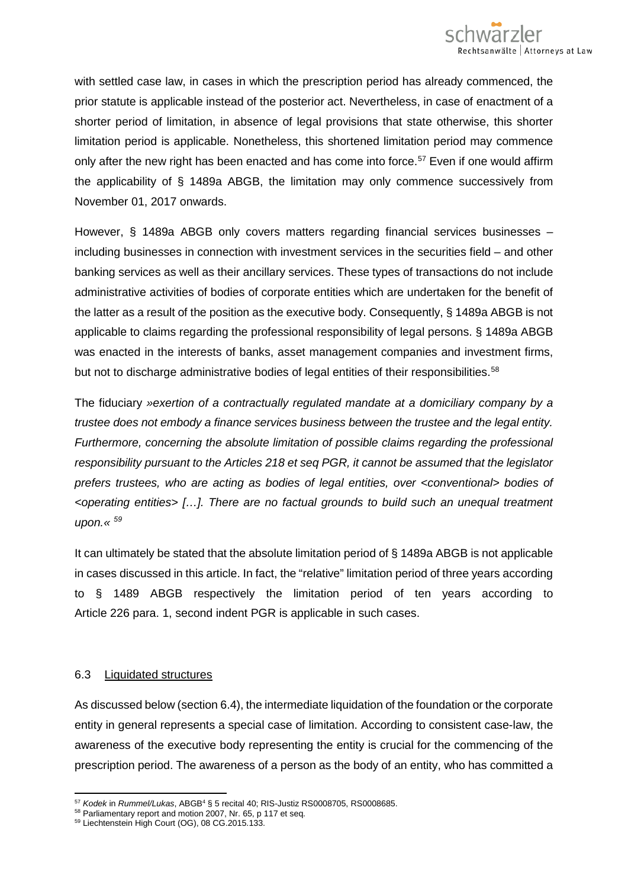

with settled case law, in cases in which the prescription period has already commenced, the prior statute is applicable instead of the posterior act. Nevertheless, in case of enactment of a shorter period of limitation, in absence of legal provisions that state otherwise, this shorter limitation period is applicable. Nonetheless, this shortened limitation period may commence only after the new right has been enacted and has come into force.<sup>[57](#page-17-0)</sup> Even if one would affirm the applicability of § 1489a ABGB, the limitation may only commence successively from November 01, 2017 onwards.

However, § 1489a ABGB only covers matters regarding financial services businesses – including businesses in connection with investment services in the securities field – and other banking services as well as their ancillary services. These types of transactions do not include administrative activities of bodies of corporate entities which are undertaken for the benefit of the latter as a result of the position as the executive body. Consequently, § 1489a ABGB is not applicable to claims regarding the professional responsibility of legal persons. § 1489a ABGB was enacted in the interests of banks, asset management companies and investment firms, but not to discharge administrative bodies of legal entities of their responsibilities.<sup>[58](#page-17-1)</sup>

The fiduciary *»exertion of a contractually regulated mandate at a domiciliary company by a trustee does not embody a finance services business between the trustee and the legal entity. Furthermore, concerning the absolute limitation of possible claims regarding the professional responsibility pursuant to the Articles 218 et seq PGR, it cannot be assumed that the legislator prefers trustees, who are acting as bodies of legal entities, over <conventional> bodies of <operating entities> […]. There are no factual grounds to build such an unequal treatment upon.« [59](#page-17-2)*

It can ultimately be stated that the absolute limitation period of § 1489a ABGB is not applicable in cases discussed in this article. In fact, the "relative" limitation period of three years according to § 1489 ABGB respectively the limitation period of ten years according to Article 226 para. 1, second indent PGR is applicable in such cases.

#### 6.3 Liquidated structures

 $\overline{a}$ 

As discussed below (section 6.4), the intermediate liquidation of the foundation or the corporate entity in general represents a special case of limitation. According to consistent case-law, the awareness of the executive body representing the entity is crucial for the commencing of the prescription period. The awareness of a person as the body of an entity, who has committed a

<span id="page-17-0"></span><sup>57</sup> *Kodek* in *Rummel/Lukas*, ABGB4 § 5 recital 40; RIS-Justiz RS0008705, RS0008685.

<span id="page-17-1"></span><sup>&</sup>lt;sup>58</sup> Parliamentary report and motion 2007, Nr. 65, p 117 et seq.

<span id="page-17-2"></span><sup>59</sup> Liechtenstein High Court (OG), 08 CG.2015.133.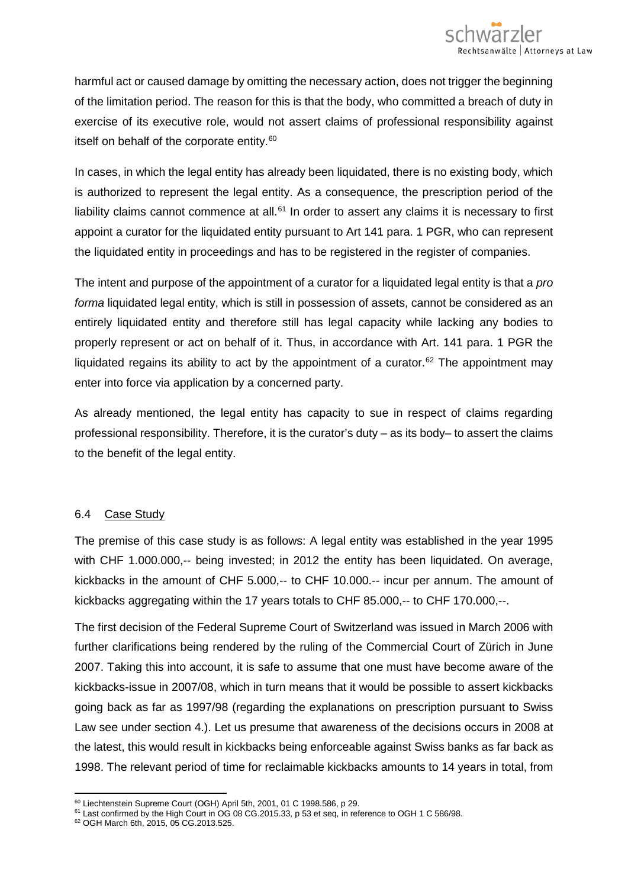harmful act or caused damage by omitting the necessary action, does not trigger the beginning of the limitation period. The reason for this is that the body, who committed a breach of duty in exercise of its executive role, would not assert claims of professional responsibility against itself on behalf of the corporate entity.<sup>[60](#page-18-0)</sup>

In cases, in which the legal entity has already been liquidated, there is no existing body, which is authorized to represent the legal entity. As a consequence, the prescription period of the liability claims cannot commence at all. $61$  In order to assert any claims it is necessary to first appoint a curator for the liquidated entity pursuant to Art 141 para. 1 PGR, who can represent the liquidated entity in proceedings and has to be registered in the register of companies.

The intent and purpose of the appointment of a curator for a liquidated legal entity is that a *pro forma* liquidated legal entity, which is still in possession of assets, cannot be considered as an entirely liquidated entity and therefore still has legal capacity while lacking any bodies to properly represent or act on behalf of it. Thus, in accordance with Art. 141 para. 1 PGR the liquidated regains its ability to act by the appointment of a curator.<sup>[62](#page-18-2)</sup> The appointment may enter into force via application by a concerned party.

As already mentioned, the legal entity has capacity to sue in respect of claims regarding professional responsibility. Therefore, it is the curator's duty – as its body– to assert the claims to the benefit of the legal entity.

# 6.4 Case Study

The premise of this case study is as follows: A legal entity was established in the year 1995 with CHF 1.000.000,-- being invested; in 2012 the entity has been liquidated. On average, kickbacks in the amount of CHF 5.000,-- to CHF 10.000.-- incur per annum. The amount of kickbacks aggregating within the 17 years totals to CHF 85.000,-- to CHF 170.000,--.

The first decision of the Federal Supreme Court of Switzerland was issued in March 2006 with further clarifications being rendered by the ruling of the Commercial Court of Zürich in June 2007. Taking this into account, it is safe to assume that one must have become aware of the kickbacks-issue in 2007/08, which in turn means that it would be possible to assert kickbacks going back as far as 1997/98 (regarding the explanations on prescription pursuant to Swiss Law see under section 4.). Let us presume that awareness of the decisions occurs in 2008 at the latest, this would result in kickbacks being enforceable against Swiss banks as far back as 1998. The relevant period of time for reclaimable kickbacks amounts to 14 years in total, from

 $\overline{a}$  $^{60}$  Liechtenstein Supreme Court (OGH) April 5th, 2001, 01 C 1998.586, p 29.

<span id="page-18-0"></span><sup>&</sup>lt;sup>61</sup> Last confirmed by the High Court in OG 08 CG.2015.33, p 53 et seq, in reference to OGH 1 C 586/98.

<span id="page-18-2"></span><span id="page-18-1"></span><sup>62</sup> OGH March 6th, 2015, 05 CG.2013.525.